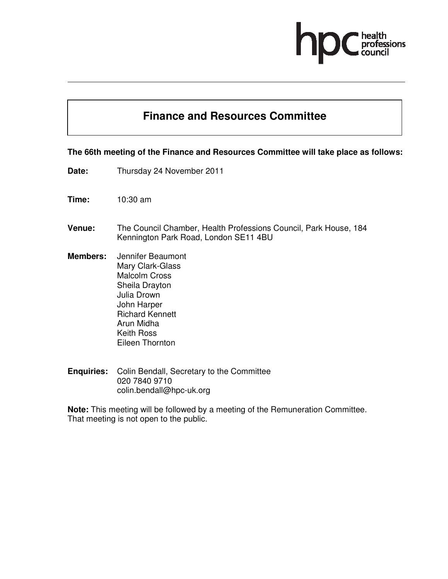# ofessions

### **Finance and Resources Committee**

#### **The 66th meeting of the Finance and Resources Committee will take place as follows:**

- **Date:** Thursday 24 November 2011
- **Time:** 10:30 am
- **Venue:** The Council Chamber, Health Professions Council, Park House, 184 Kennington Park Road, London SE11 4BU
- **Members:** Jennifer Beaumont Mary Clark-Glass Malcolm Cross Sheila Drayton Julia Drown John Harper Richard Kennett Arun Midha Keith Ross Eileen Thornton
- **Enquiries:** Colin Bendall, Secretary to the Committee 020 7840 9710 colin.bendall@hpc-uk.org

**Note:** This meeting will be followed by a meeting of the Remuneration Committee. That meeting is not open to the public.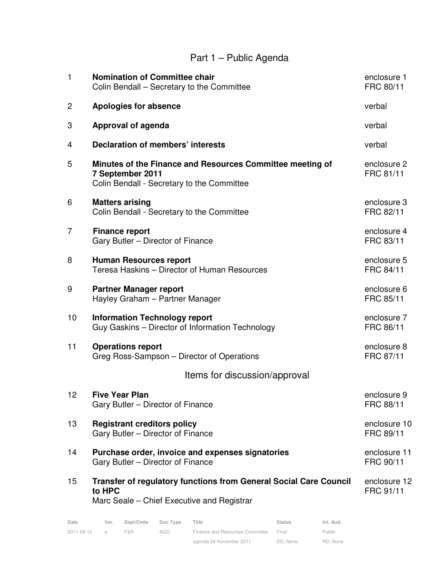## Part 1 – Public Agenda

| $\mathbf{1}$   | <b>Nomination of Committee chair</b><br>Colin Bendall - Secretary to the Committee                                          | enclosure 1<br>FRC 80/11  |  |  |  |  |
|----------------|-----------------------------------------------------------------------------------------------------------------------------|---------------------------|--|--|--|--|
| 2              | <b>Apologies for absence</b>                                                                                                | verbal                    |  |  |  |  |
| 3              | <b>Approval of agenda</b>                                                                                                   | verbal                    |  |  |  |  |
| 4              | <b>Declaration of members' interests</b>                                                                                    | verbal                    |  |  |  |  |
| 5              | Minutes of the Finance and Resources Committee meeting of<br>7 September 2011<br>Colin Bendall - Secretary to the Committee | enclosure 2<br>FRC 81/11  |  |  |  |  |
| 6              | <b>Matters arising</b><br>Colin Bendall - Secretary to the Committee                                                        | enclosure 3<br>FRC 82/11  |  |  |  |  |
| $\overline{7}$ | <b>Finance report</b><br>Gary Butler - Director of Finance                                                                  | enclosure 4<br>FRC 83/11  |  |  |  |  |
| 8              | <b>Human Resources report</b><br>Teresa Haskins - Director of Human Resources                                               | enclosure 5<br>FRC 84/11  |  |  |  |  |
| 9              | <b>Partner Manager report</b><br>Hayley Graham - Partner Manager                                                            | enclosure 6<br>FRC 85/11  |  |  |  |  |
| 10             | <b>Information Technology report</b><br>Guy Gaskins - Director of Information Technology                                    | enclosure 7<br>FRC 86/11  |  |  |  |  |
| 11             | <b>Operations report</b><br>Greg Ross-Sampson – Director of Operations                                                      | enclosure 8<br>FRC 87/11  |  |  |  |  |
|                | Items for discussion/approval                                                                                               |                           |  |  |  |  |
| 12             | <b>Five Year Plan</b><br>Gary Butler - Director of Finance                                                                  | enclosure 9<br>FRC 88/11  |  |  |  |  |
| 13             | <b>Registrant creditors policy</b><br>Gary Butler - Director of Finance                                                     | enclosure 10<br>FRC 89/11 |  |  |  |  |
| 14             | Purchase order, invoice and expenses signatories<br>Gary Butler - Director of Finance                                       | enclosure 11<br>FRC 90/11 |  |  |  |  |
| 15             | Transfer of regulatory functions from General Social Care Council<br>to HPC<br>Marc Seale – Chief Executive and Registrar   | enclosure 12<br>FRC 91/11 |  |  |  |  |

| Date       | Ver.          | Dept/Cmte | Doc Type | Title                           | <b>Status</b> | Int. Aud.     |
|------------|---------------|-----------|----------|---------------------------------|---------------|---------------|
| 2011-09-12 | $\mathcal{A}$ | F&R       | AGD      | Finance and Resources Committee | Final         | <b>Public</b> |
|            |               |           |          | agenda 24 November 2011         | DD: None      | RD: None      |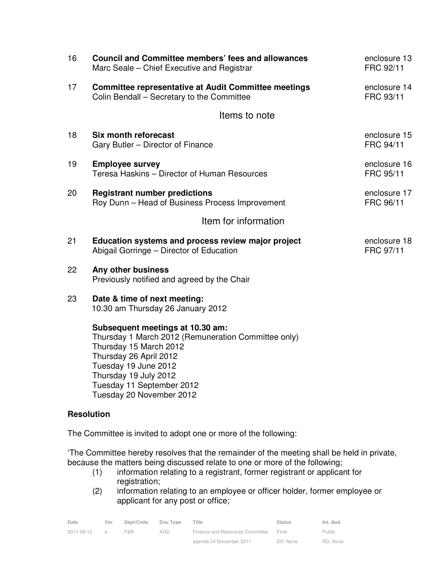| 16 | <b>Council and Committee members' fees and allowances</b><br>Marc Seale – Chief Executive and Registrar                                                                                                                   | enclosure 13<br>FRC 92/11 |
|----|---------------------------------------------------------------------------------------------------------------------------------------------------------------------------------------------------------------------------|---------------------------|
| 17 | <b>Committee representative at Audit Committee meetings</b><br>Colin Bendall - Secretary to the Committee                                                                                                                 | enclosure 14<br>FRC 93/11 |
|    | Items to note                                                                                                                                                                                                             |                           |
| 18 | <b>Six month reforecast</b><br>Gary Butler - Director of Finance                                                                                                                                                          | enclosure 15<br>FRC 94/11 |
| 19 | <b>Employee survey</b><br>Teresa Haskins - Director of Human Resources                                                                                                                                                    | enclosure 16<br>FRC 95/11 |
| 20 | <b>Registrant number predictions</b><br>Roy Dunn - Head of Business Process Improvement                                                                                                                                   | enclosure 17<br>FRC 96/11 |
|    | Item for information                                                                                                                                                                                                      |                           |
| 21 | Education systems and process review major project<br>Abigail Gorringe - Director of Education                                                                                                                            | enclosure 18<br>FRC 97/11 |
| 22 | Any other business<br>Previously notified and agreed by the Chair                                                                                                                                                         |                           |
| 23 | Date & time of next meeting:<br>10.30 am Thursday 26 January 2012                                                                                                                                                         |                           |
|    | Subsequent meetings at 10.30 am:<br>Thursday 1 March 2012 (Remuneration Committee only)<br>Thursday 15 March 2012<br>Thursday 26 April 2012<br>Tuesday 19 June 2012<br>Thursday 19 July 2012<br>Tuesday 11 September 2012 |                           |

#### **Resolution**

The Committee is invited to adopt one or more of the following:

Tuesday 20 November 2012

'The Committee hereby resolves that the remainder of the meeting shall be held in private, because the matters being discussed relate to one or more of the following;

- (1) information relating to a registrant, former registrant or applicant for registration;
- (2) information relating to an employee or officer holder, former employee or applicant for any post or office;

| Date       | Ver.          | Dept/Cmte | Doc Type | <b>Fitle</b>                    | <b>Status</b> | Int. Aud.     |
|------------|---------------|-----------|----------|---------------------------------|---------------|---------------|
| 2011-09-12 | $\mathcal{A}$ | F&R       | AGD      | Finance and Resources Committee | Final         | <b>Public</b> |
|            |               |           |          | agenda 24 November 2011         | DD: None      | RD: None      |